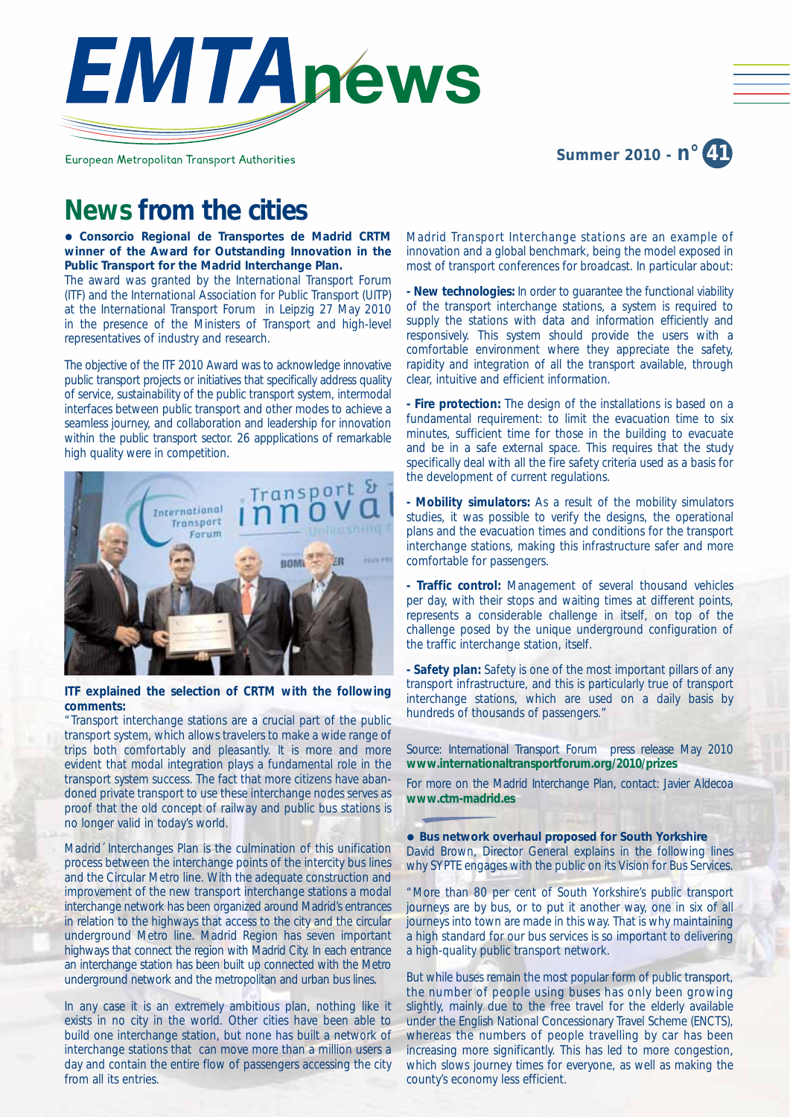

European Metropolitan Transport Authorities

## **Summer 2010 - n° 41**

# **News from the cities**

**• Consorcio Regional de Transportes de Madrid CRTM winner of the Award for Outstanding Innovation in the Public Transport for the Madrid Interchange Plan.**

The award was granted by the International Transport Forum (ITF) and the International Association for Public Transport (UITP) at the International Transport Forum in Leipzig 27 May 2010 in the presence of the Ministers of Transport and high-level representatives of industry and research.

The objective of the ITF 2010 Award was to acknowledge innovative public transport projects or initiatives that specifically address quality of service, sustainability of the public transport system, intermodal interfaces between public transport and other modes to achieve a seamless journey, and collaboration and leadership for innovation within the public transport sector. 26 appplications of remarkable high quality were in competition.



#### **ITF explained the selection of CRTM with the following comments:**

"Transport interchange stations are a crucial part of the public transport system, which allows travelers to make a wide range of trips both comfortably and pleasantly. It is more and more evident that modal integration plays a fundamental role in the transport system success. The fact that more citizens have abandoned private transport to use these interchange nodes serves as proof that the old concept of railway and public bus stations is no longer valid in today's world.

Madrid´ Interchanges Plan is the culmination of this unification process between the interchange points of the intercity bus lines and the Circular Metro line. With the adequate construction and improvement of the new transport interchange stations a modal interchange network has been organized around Madrid's entrances in relation to the highways that access to the city and the circular underground Metro line. Madrid Region has seven important highways that connect the region with Madrid City. In each entrance an interchange station has been built up connected with the Metro underground network and the metropolitan and urban bus lines.

In any case it is an extremely ambitious plan, nothing like it exists in no city in the world. Other cities have been able to build one interchange station, but none has built a network of interchange stations that can move more than a million users a day and contain the entire flow of passengers accessing the city from all its entries.

Madrid Transport Interchange stations are an example of innovation and a global benchmark, being the model exposed in most of transport conferences for broadcast. In particular about:

**- New technologies:** In order to guarantee the functional viability of the transport interchange stations, a system is required to supply the stations with data and information efficiently and responsively. This system should provide the users with a comfortable environment where they appreciate the safety, rapidity and integration of all the transport available, through clear, intuitive and efficient information.

**- Fire protection:** The design of the installations is based on a fundamental requirement: to limit the evacuation time to six minutes, sufficient time for those in the building to evacuate and be in a safe external space. This requires that the study specifically deal with all the fire safety criteria used as a basis for the development of current regulations.

**- Mobility simulators:** As a result of the mobility simulators studies, it was possible to verify the designs, the operational plans and the evacuation times and conditions for the transport interchange stations, making this infrastructure safer and more comfortable for passengers.

**- Traffic control:** Management of several thousand vehicles per day, with their stops and waiting times at different points, represents a considerable challenge in itself, on top of the challenge posed by the unique underground configuration of the traffic interchange station, itself.

**- Safety plan:** Safety is one of the most important pillars of any transport infrastructure, and this is particularly true of transport interchange stations, which are used on a daily basis by hundreds of thousands of passengers."

*Source: International Transport Forum press release May 2010* **www.internationaltransportforum.org/2010/prizes**

*For more on the Madrid Interchange Plan, contact: Javier Aldecoa* **www.ctm-madrid.es**

**• Bus network overhaul proposed for South Yorkshire** David Brown, Director General explains in the following lines why SYPTE engages with the public on its Vision for Bus Services.

"More than 80 per cent of South Yorkshire's public transport journeys are by bus, or to put it another way, one in six of all journeys into town are made in this way. That is why maintaining a high standard for our bus services is so important to delivering a high-quality public transport network.

But while buses remain the most popular form of public transport, the number of people using buses has only been growing slightly, mainly due to the free travel for the elderly available under the English National Concessionary Travel Scheme (ENCTS), whereas the numbers of people travelling by car has been increasing more significantly. This has led to more congestion, which slows journey times for everyone, as well as making the county's economy less efficient.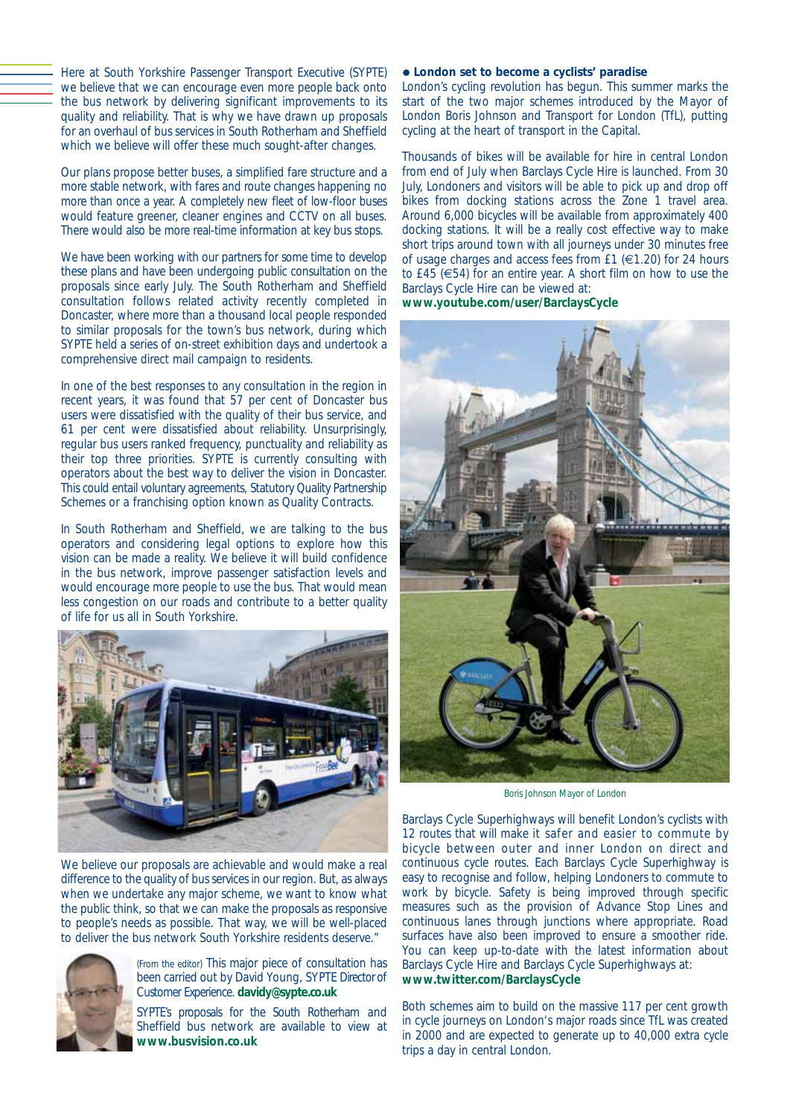Here at South Yorkshire Passenger Transport Executive (SYPTE) we believe that we can encourage even more people back onto the bus network by delivering significant improvements to its quality and reliability. That is why we have drawn up proposals for an overhaul of bus services in South Rotherham and Sheffield which we believe will offer these much sought-after changes.

Our plans propose better buses, a simplified fare structure and a more stable network, with fares and route changes happening no more than once a year. A completely new fleet of low-floor buses would feature greener, cleaner engines and CCTV on all buses. There would also be more real-time information at key bus stops.

We have been working with our partners for some time to develop these plans and have been undergoing public consultation on the proposals since early July. The South Rotherham and Sheffield consultation follows related activity recently completed in Doncaster, where more than a thousand local people responded to similar proposals for the town's bus network, during which SYPTE held a series of on-street exhibition days and undertook a comprehensive direct mail campaign to residents.

In one of the best responses to any consultation in the region in recent years, it was found that 57 per cent of Doncaster bus users were dissatisfied with the quality of their bus service, and 61 per cent were dissatisfied about reliability. Unsurprisingly, regular bus users ranked frequency, punctuality and reliability as their top three priorities. SYPTE is currently consulting with operators about the best way to deliver the vision in Doncaster. This could entail voluntary agreements, Statutory Quality Partnership Schemes or a franchising option known as Quality Contracts.

In South Rotherham and Sheffield, we are talking to the bus operators and considering legal options to explore how this vision can be made a reality. We believe it will build confidence in the bus network, improve passenger satisfaction levels and would encourage more people to use the bus. That would mean less congestion on our roads and contribute to a better quality of life for us all in South Yorkshire.



We believe our proposals are achievable and would make a real difference to the quality of bus services in our region. But, as always when we undertake any major scheme, we want to know what the public think, so that we can make the proposals as responsive to people's needs as possible. That way, we will be well-placed to deliver the bus network South Yorkshire residents deserve."



*(From the editor)* This major piece of consultation has been carried out by David Young, SYPTE Director of Customer Experience. **davidy@sypte.co.uk**

SYPTE's proposals for the South Rotherham and Sheffield bus network are available to view at **www.busvision.co.uk**

#### $\bullet$  London set to become a cyclists' paradise

London's cycling revolution has begun. This summer marks the start of the two major schemes introduced by the Mayor of London Boris Johnson and Transport for London (TfL), putting cycling at the heart of transport in the Capital.

Thousands of bikes will be available for hire in central London from end of July when Barclays Cycle Hire is launched. From 30 July, Londoners and visitors will be able to pick up and drop off bikes from docking stations across the Zone 1 travel area. Around 6,000 bicycles will be available from approximately 400 docking stations. It will be a really cost effective way to make short trips around town with all journeys under 30 minutes free of usage charges and access fees from £1 ( $\in$ 1.20) for 24 hours to £45 (€54) for an entire year. A short film on how to use the Barclays Cycle Hire can be viewed at:

**www.youtube.com/user/BarclaysCycle**



*Boris Johnson Mayor of London*

Barclays Cycle Superhighways will benefit London's cyclists with 12 routes that will make it safer and easier to commute by bicycle between outer and inner London on direct and continuous cycle routes. Each Barclays Cycle Superhighway is easy to recognise and follow, helping Londoners to commute to work by bicycle. Safety is being improved through specific measures such as the provision of Advance Stop Lines and continuous lanes through junctions where appropriate. Road surfaces have also been improved to ensure a smoother ride. You can keep up-to-date with the latest information about Barclays Cycle Hire and Barclays Cycle Superhighways at: **www.twitter.com/BarclaysCycle**

Both schemes aim to build on the massive 117 per cent growth in cycle journeys on London's major roads since TfL was created in 2000 and are expected to generate up to 40,000 extra cycle trips a day in central London.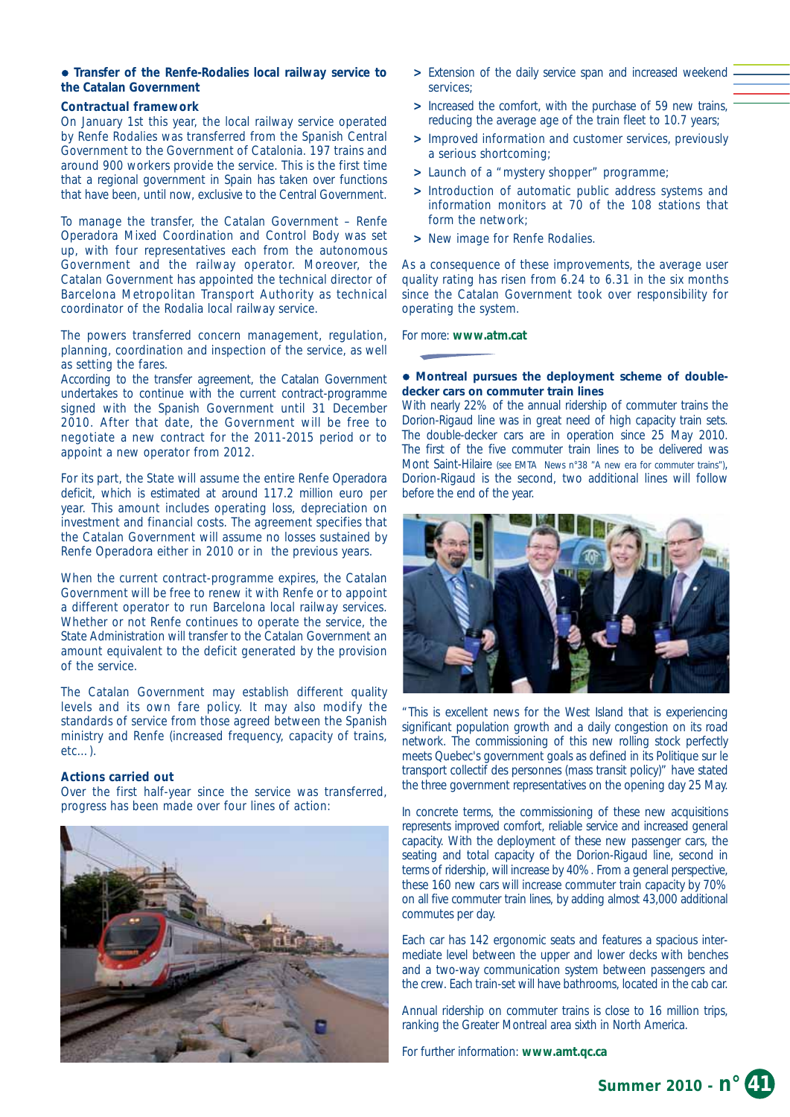#### **• Transfer of the Renfe-Rodalies local railway service to the Catalan Government**

#### **Contractual framework**

On January 1st this year, the local railway service operated by Renfe Rodalies was transferred from the Spanish Central Government to the Government of Catalonia. 197 trains and around 900 workers provide the service. This is the first time that a regional government in Spain has taken over functions that have been, until now, exclusive to the Central Government.

To manage the transfer, the Catalan Government – Renfe Operadora Mixed Coordination and Control Body was set up, with four representatives each from the autonomous Government and the railway operator. Moreover, the Catalan Government has appointed the technical director of Barcelona Metropolitan Transport Authority as technical coordinator of the Rodalia local railway service.

The powers transferred concern management, regulation, planning, coordination and inspection of the service, as well as setting the fares.

According to the transfer agreement, the Catalan Government undertakes to continue with the current contract-programme signed with the Spanish Government until 31 December 2010. After that date, the Government will be free to negotiate a new contract for the 2011-2015 period or to appoint a new operator from 2012.

For its part, the State will assume the entire Renfe Operadora deficit, which is estimated at around 117.2 million euro per year. This amount includes operating loss, depreciation on investment and financial costs. The agreement specifies that the Catalan Government will assume no losses sustained by Renfe Operadora either in 2010 or in the previous years.

When the current contract-programme expires, the Catalan Government will be free to renew it with Renfe or to appoint a different operator to run Barcelona local railway services. Whether or not Renfe continues to operate the service, the State Administration will transfer to the Catalan Government an amount equivalent to the deficit generated by the provision of the service.

The Catalan Government may establish different quality levels and its own fare policy. It may also modify the standards of service from those agreed between the Spanish ministry and Renfe (increased frequency, capacity of trains, etc…).

#### **Actions carried out**

Over the first half-year since the service was transferred, progress has been made over four lines of action:



- Extension of the daily service span and increased weekend services;
- **>** Increased the comfort, with the purchase of 59 new trains, reducing the average age of the train fleet to 10.7 years;
- **>** Improved information and customer services, previously a serious shortcoming;
- **>** Launch of a "mystery shopper" programme;
- **>** Introduction of automatic public address systems and information monitors at 70 of the 108 stations that form the network;
- **>** New image for Renfe Rodalies.

As a consequence of these improvements, the average user quality rating has risen from 6.24 to 6.31 in the six months since the Catalan Government took over responsibility for operating the system.

#### For more: **www.atm.cat**

#### $\bullet$  Montreal pursues the deployment scheme of double**decker cars on commuter train lines**

With nearly 22% of the annual ridership of commuter trains the Dorion-Rigaud line was in great need of high capacity train sets. The double-decker cars are in operation since 25 May 2010. The first of the five commuter train lines to be delivered was Mont Saint-Hilaire *(see EMTA News n°38 "A new era for commuter trains")*, Dorion-Rigaud is the second, two additional lines will follow before the end of the year.



This is excellent news for the West Island that is experiencing significant population growth and a daily congestion on its road network. The commissioning of this new rolling stock perfectly meets Quebec's government goals as defined in its Politique sur le transport collectif des personnes (mass transit policy)" have stated the three government representatives on the opening day 25 May.

In concrete terms, the commissioning of these new acquisitions represents improved comfort, reliable service and increased general capacity. With the deployment of these new passenger cars, the seating and total capacity of the Dorion-Rigaud line, second in terms of ridership, will increase by 40%. From a general perspective, these 160 new cars will increase commuter train capacity by 70% on all five commuter train lines, by adding almost 43,000 additional commutes per day.

Each car has 142 ergonomic seats and features a spacious intermediate level between the upper and lower decks with benches and a two-way communication system between passengers and the crew. Each train-set will have bathrooms, located in the cab car.

Annual ridership on commuter trains is close to 16 million trips, ranking the Greater Montreal area sixth in North America.

For further information: **www.amt.qc.ca**